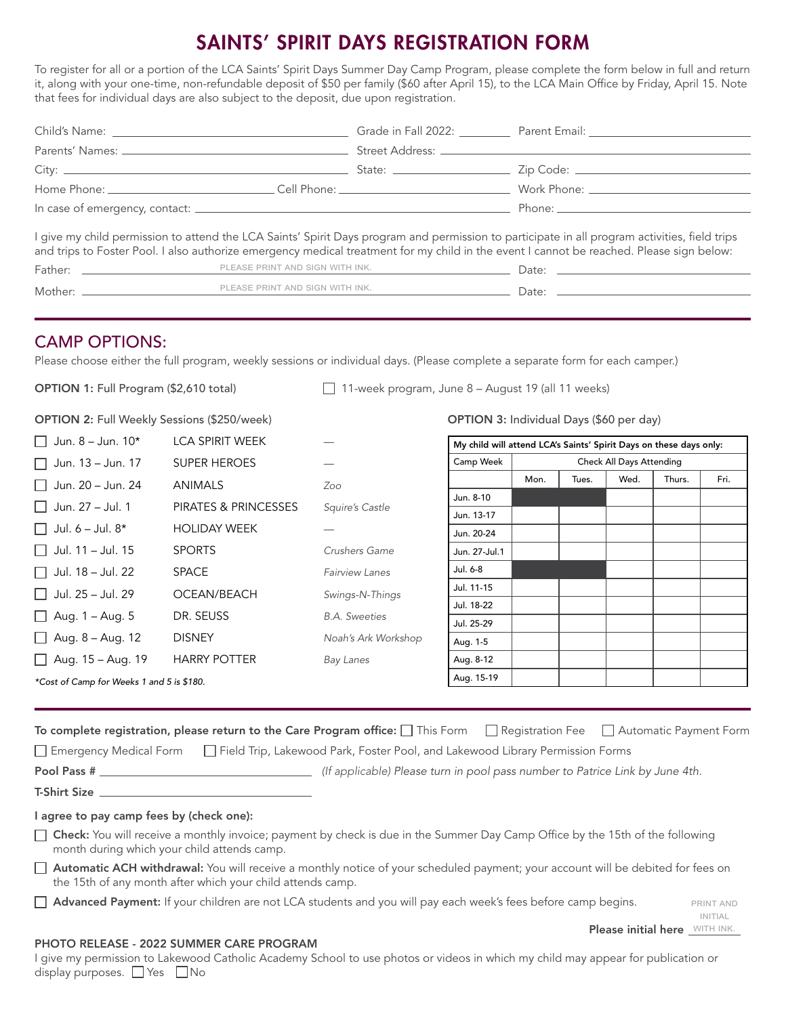# NTS' SPIRIT DAYS REGISTRATION FORM

To register for all or a portion of the LCA Saints' Spirit Days Summer Day Camp Program, please complete the form below in full and return it, along with your one-time, non-refundable deposit of \$50 per family (\$60 after April 15), to the LCA Main Office by Friday, April 15. Note that fees for individual days are also subject to the deposit, due upon registration.

|  |                                         | Grade in Fall 2022: Parent Email: Cambridge in Fall 2022:                                                                                                                                                                                                                                 |
|--|-----------------------------------------|-------------------------------------------------------------------------------------------------------------------------------------------------------------------------------------------------------------------------------------------------------------------------------------------|
|  |                                         |                                                                                                                                                                                                                                                                                           |
|  |                                         |                                                                                                                                                                                                                                                                                           |
|  |                                         | Work Phone: The Contract of the Contract of the Contract of the Contract of the Contract of the Contract of the Contract of the Contract of the Contract of the Contract of the Contract of the Contract of the Contract of th                                                            |
|  |                                         | Phone: the contract of the contract of the contract of the contract of the contract of the contract of the contract of the contract of the contract of the contract of the contract of the contract of the contract of the con                                                            |
|  |                                         | I give my child permission to attend the LCA Saints' Spirit Days program and permission to participate in all program activities, field trips<br>and trips to Foster Pool. I also authorize emergency medical treatment for my child in the event I cannot be reached. Please sign below: |
|  | <u> 1989 - Johann Barbara, martin a</u> |                                                                                                                                                                                                                                                                                           |

| Mother | PRINT AND SIGN WITH INK.<br>EASE. |                   |
|--------|-----------------------------------|-------------------|
|        |                                   | 1.11 <sup>2</sup> |

# CAMP OPTIONS:

Please choose either the full program, weekly sessions or individual days. (Please complete a separate form for each camper.)

**OPTION 1:** Full Program  $(\$2,610$  total)

| 11-week program, June 8 - August 19 (all 11 weeks) |  |  |  |  |
|----------------------------------------------------|--|--|--|--|
|                                                    |  |  |  |  |

OPTION 3: Individual Days (\$60 per day)

OPTION 2: Full Weekly Sessions (\$250/week)

| $\Box$ Jun. 8 – Jun. 10*                  | <b>LCA SPIRIT WEEK</b>          |                       | My child will attend LCA's Saints' Spirit Days on these days only: |      |       |                          |        |      |
|-------------------------------------------|---------------------------------|-----------------------|--------------------------------------------------------------------|------|-------|--------------------------|--------|------|
| $\Box$ Jun. 13 – Jun. 17                  | <b>SUPER HEROES</b>             |                       | Camp Week                                                          |      |       | Check All Days Attending |        |      |
| $\Box$ Jun. 20 – Jun. 24                  | <b>ANIMALS</b>                  | Zoo                   |                                                                    | Mon. | Tues. | Wed.                     | Thurs. | Fri. |
| 1 Jun. 27 – Jul. 1                        | <b>PIRATES &amp; PRINCESSES</b> | Squire's Castle       | Jun. 8-10                                                          |      |       |                          |        |      |
|                                           |                                 |                       | Jun. 13-17                                                         |      |       |                          |        |      |
| $\Box$ Jul. 6 – Jul. 8*                   | <b>HOLIDAY WEEK</b>             |                       | Jun. 20-24                                                         |      |       |                          |        |      |
| $\Box$ Jul. 11 – Jul. 15                  | <b>SPORTS</b>                   | Crushers Game         | Jun. 27-Jul.1                                                      |      |       |                          |        |      |
| $\Box$ Jul. 18 – Jul. 22                  | <b>SPACE</b>                    | <b>Fairview Lanes</b> | Jul. 6-8                                                           |      |       |                          |        |      |
| $\Box$ Jul. 25 – Jul. 29                  | OCEAN/BEACH                     | Swings-N-Things       | Jul. 11-15                                                         |      |       |                          |        |      |
|                                           |                                 |                       | Jul. 18-22                                                         |      |       |                          |        |      |
| $\Box$ Aug. 1 – Aug. 5                    | DR. SEUSS                       | <b>B.A.</b> Sweeties  | Jul. 25-29                                                         |      |       |                          |        |      |
| $\Box$ Aug. 8 – Aug. 12                   | <b>DISNEY</b>                   | Noah's Ark Workshop   | Aug. 1-5                                                           |      |       |                          |        |      |
| $\Box$ Aug. 15 – Aug. 19                  | <b>HARRY POTTER</b>             | Bay Lanes             | Aug. 8-12                                                          |      |       |                          |        |      |
| *Cost of Camp for Weeks 1 and 5 is \$180. | Aug. 15-19                      |                       |                                                                    |      |       |                          |        |      |

|  |  | To complete registration, please return to the Care Program office: This Form Registration Fee Automatic Payment Form |
|--|--|-----------------------------------------------------------------------------------------------------------------------|

Emergency Medical Form Field Trip, Lakewood Park, Foster Pool, and Lakewood Library Permission Forms

|  | POOL PASS # |  |  |
|--|-------------|--|--|
|  |             |  |  |

Pool Pass # *(If applicable) Please turn in pool pass number to Patrice Link by June 4th.*

#### T-Shirt Size

### I agree to pay camp fees by (check one):

Check: You will receive a monthly invoice; payment by check is due in the Summer Day Camp Office by the 15th of the following month during which your child attends camp.

**Please initial here**  $\frac{N V T H N N K}{T}$ print and initial

### PHOTO RELEASE - 2022 SUMMER CARE PROGRAM

I give my permission to Lakewood Catholic Academy School to use photos or videos in which my child may appear for publication or display purposes.  $\Box$  Yes  $\Box$  No

<sup>□</sup> Automatic ACH withdrawal: You will receive a monthly notice of your scheduled payment; your account will be debited for fees on the 15th of any month after which your child attends camp.

Advanced Payment: If your children are not LCA students and you will pay each week's fees before camp begins.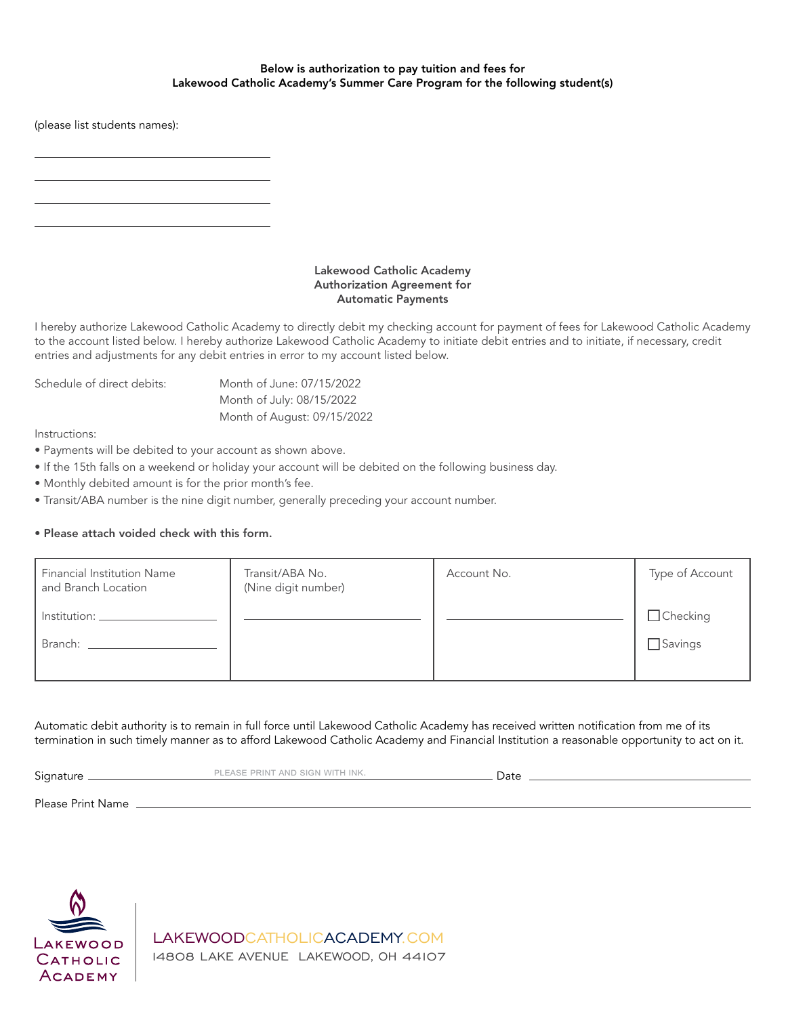#### Below is authorization to pay tuition and fees for Lakewood Catholic Academy's Summer Care Program for the following student(s)

(please list students names):

#### Lakewood Catholic Academy Authorization Agreement for Automatic Payments

I hereby authorize Lakewood Catholic Academy to directly debit my checking account for payment of fees for Lakewood Catholic Academy to the account listed below. I hereby authorize Lakewood Catholic Academy to initiate debit entries and to initiate, if necessary, credit entries and adjustments for any debit entries in error to my account listed below.

| Schedule of direct debits: | Month of June: 07/15/2022   |
|----------------------------|-----------------------------|
|                            | Month of July: 08/15/2022   |
|                            | Month of August: 09/15/2022 |

Instructions:

- Payments will be debited to your account as shown above.
- If the 15th falls on a weekend or holiday your account will be debited on the following business day.
- Monthly debited amount is for the prior month's fee.
- Transit/ABA number is the nine digit number, generally preceding your account number.

### • Please attach voided check with this form.

| <b>Financial Institution Name</b><br>and Branch Location | Transit/ABA No.<br>(Nine digit number) | Account No. | Type of Account |
|----------------------------------------------------------|----------------------------------------|-------------|-----------------|
| Institution:                                             |                                        |             | $\Box$ Checking |
| Branch:                                                  |                                        |             | $\Box$ Savings  |
|                                                          |                                        |             |                 |

Automatic debit authority is to remain in full force until Lakewood Catholic Academy has received written notification from me of its termination in such timely manner as to afford Lakewood Catholic Academy and Financial Institution a reasonable opportunity to act on it.

Signature **EXECUTE:** PLEASE PRINT AND SIGN WITH INK. **EXECUTE: 2008** Date

Please Print Name



LAKEWOODCATHOLICACADEMY.COM 14808 LAKE AVENUE LAKEWOOD, OH 44107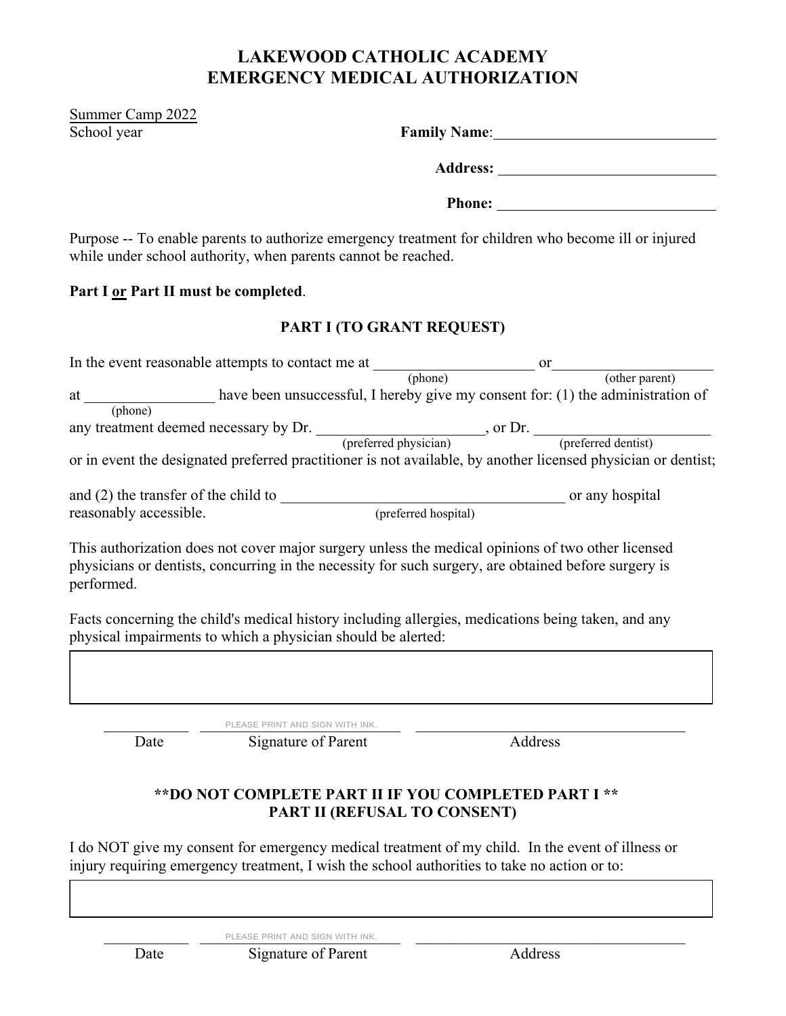# **LAKEWOOD CATHOLIC ACADEMY EMERGENCY MEDICAL AUTHORIZATION**

Summer Camp 2022 **School** year

| <b>Family Name:</b> |  |
|---------------------|--|
| <b>Address:</b>     |  |

**Phone:** 

Purpose -- To enable parents to authorize emergency treatment for children who become ill or injured while under school authority, when parents cannot be reached.

# **Part I or Part II must be completed**.

# **PART I (TO GRANT REQUEST)**

| In the event reasonable attempts to contact me at                                                             |                                                                                 | <b>or</b>           |
|---------------------------------------------------------------------------------------------------------------|---------------------------------------------------------------------------------|---------------------|
|                                                                                                               | (phone)                                                                         | (other parent)      |
| at                                                                                                            | have been unsuccessful, I hereby give my consent for: (1) the administration of |                     |
| (phone)                                                                                                       |                                                                                 |                     |
| any treatment deemed necessary by Dr.                                                                         | , or $Dr.$                                                                      |                     |
|                                                                                                               | (preferred physician)                                                           | (preferred dentist) |
| or in event the designated preferred practitioner is not available, by another licensed physician or dentist; |                                                                                 |                     |
| and $(2)$ the transfer of the child to                                                                        |                                                                                 | or any hospital     |
| reasonably accessible.                                                                                        | (preferred hospital)                                                            |                     |

This authorization does not cover major surgery unless the medical opinions of two other licensed physicians or dentists, concurring in the necessity for such surgery, are obtained before surgery is performed.

Facts concerning the child's medical history including allergies, medications being taken, and any physical impairments to which a physician should be alerted:

\_\_\_\_\_\_\_\_\_\_\_ \_\_\_\_\_\_\_\_\_\_\_\_\_\_\_\_\_\_\_\_\_\_\_\_\_\_ \_\_\_\_\_\_\_\_\_\_\_\_\_\_\_\_\_\_\_\_\_\_\_\_\_\_\_\_\_\_\_\_\_\_\_ please print and sign with ink.

Date Signature of Parent Address

# **\*\*DO NOT COMPLETE PART II IF YOU COMPLETED PART I \*\* PART II (REFUSAL TO CONSENT)**

I do NOT give my consent for emergency medical treatment of my child. In the event of illness or injury requiring emergency treatment, I wish the school authorities to take no action or to:

PLEASE PRINT AND SIGN WITH INK.

Date Signature of Parent Address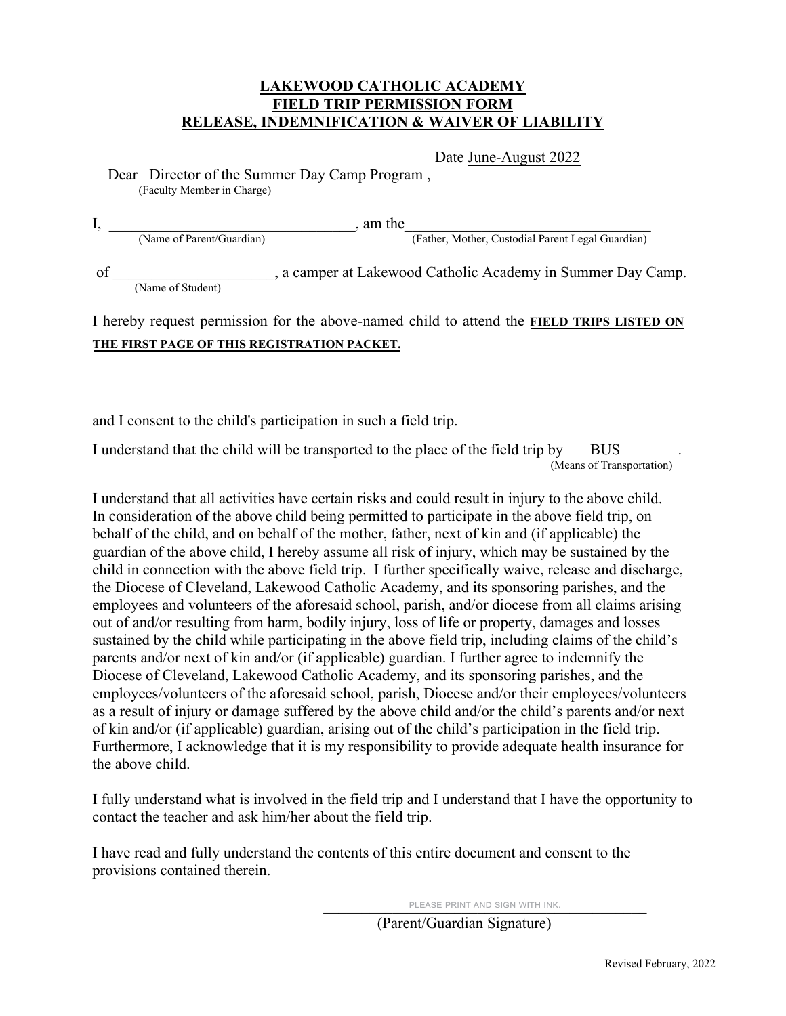### **LAKEWOOD CATHOLIC ACADEMY FIELD TRIP PERMISSION FORM RELEASE, INDEMNIFICATION & WAIVER OF LIABILITY**

Date June-August 2022

Dear Director of the Summer Day Camp Program ,

(Faculty Member in Charge)

|    |                           | am the                                                    |
|----|---------------------------|-----------------------------------------------------------|
|    | (Name of Parent/Guardian) | (Father, Mother, Custodial Parent Legal Guardian)         |
| of | (Name of Student)         | a camper at Lakewood Catholic Academy in Summer Day Camp. |

# I hereby request permission for the above-named child to attend the **FIELD TRIPS LISTED ON THE FIRST PAGE OF THIS REGISTRATION PACKET.**

and I consent to the child's participation in such a field trip.

I understand that the child will be transported to the place of the field trip by BUS (Means of Transportation)

I understand that all activities have certain risks and could result in injury to the above child. In consideration of the above child being permitted to participate in the above field trip, on behalf of the child, and on behalf of the mother, father, next of kin and (if applicable) the guardian of the above child, I hereby assume all risk of injury, which may be sustained by the child in connection with the above field trip. I further specifically waive, release and discharge, the Diocese of Cleveland, Lakewood Catholic Academy, and its sponsoring parishes, and the employees and volunteers of the aforesaid school, parish, and/or diocese from all claims arising out of and/or resulting from harm, bodily injury, loss of life or property, damages and losses sustained by the child while participating in the above field trip, including claims of the child's parents and/or next of kin and/or (if applicable) guardian. I further agree to indemnify the Diocese of Cleveland, Lakewood Catholic Academy, and its sponsoring parishes, and the employees/volunteers of the aforesaid school, parish, Diocese and/or their employees/volunteers as a result of injury or damage suffered by the above child and/or the child's parents and/or next of kin and/or (if applicable) guardian, arising out of the child's participation in the field trip. Furthermore, I acknowledge that it is my responsibility to provide adequate health insurance for the above child.

I fully understand what is involved in the field trip and I understand that I have the opportunity to contact the teacher and ask him/her about the field trip.

I have read and fully understand the contents of this entire document and consent to the provisions contained therein.

PLEASE PRINT AND SIGN WITH INK.

(Parent/Guardian Signature)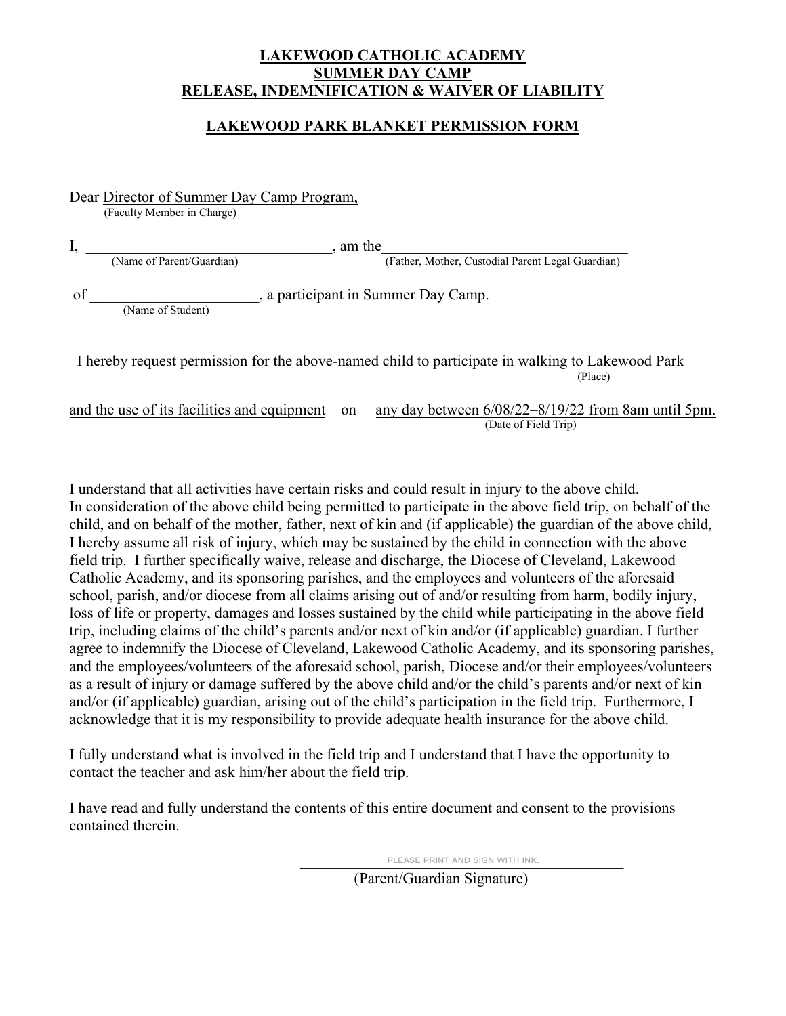## **LAKEWOOD CATHOLIC ACADEMY SUMMER DAY CAMP RELEASE, INDEMNIFICATION & WAIVER OF LIABILITY**

## **LAKEWOOD PARK BLANKET PERMISSION FORM**

Dear Director of Summer Day Camp Program, (Faculty Member in Charge) I, \_\_\_\_\_\_\_\_\_\_\_\_\_\_\_\_\_\_\_\_\_\_\_\_\_\_\_\_\_\_\_\_, am the\_\_\_\_\_\_\_\_\_\_\_\_\_\_\_\_\_\_\_\_\_\_\_\_\_\_\_\_\_\_\_\_ (Father, Mother, Custodial Parent Legal Guardian) , a participant in Summer Day Camp. (Name of Student)

 I hereby request permission for the above-named child to participate in walking to Lakewood Park (Place)

and the use of its facilities and equipment on any day between 6/08/22–8/19/22 from 8am until 5pm. (Date of Field Trip)

I understand that all activities have certain risks and could result in injury to the above child. In consideration of the above child being permitted to participate in the above field trip, on behalf of the child, and on behalf of the mother, father, next of kin and (if applicable) the guardian of the above child, I hereby assume all risk of injury, which may be sustained by the child in connection with the above field trip. I further specifically waive, release and discharge, the Diocese of Cleveland, Lakewood Catholic Academy, and its sponsoring parishes, and the employees and volunteers of the aforesaid school, parish, and/or diocese from all claims arising out of and/or resulting from harm, bodily injury, loss of life or property, damages and losses sustained by the child while participating in the above field trip, including claims of the child's parents and/or next of kin and/or (if applicable) guardian. I further agree to indemnify the Diocese of Cleveland, Lakewood Catholic Academy, and its sponsoring parishes, and the employees/volunteers of the aforesaid school, parish, Diocese and/or their employees/volunteers as a result of injury or damage suffered by the above child and/or the child's parents and/or next of kin and/or (if applicable) guardian, arising out of the child's participation in the field trip. Furthermore, I acknowledge that it is my responsibility to provide adequate health insurance for the above child.

I fully understand what is involved in the field trip and I understand that I have the opportunity to contact the teacher and ask him/her about the field trip.

I have read and fully understand the contents of this entire document and consent to the provisions contained therein.

PLEASE PRINT AND SIGN WITH INK.

(Parent/Guardian Signature)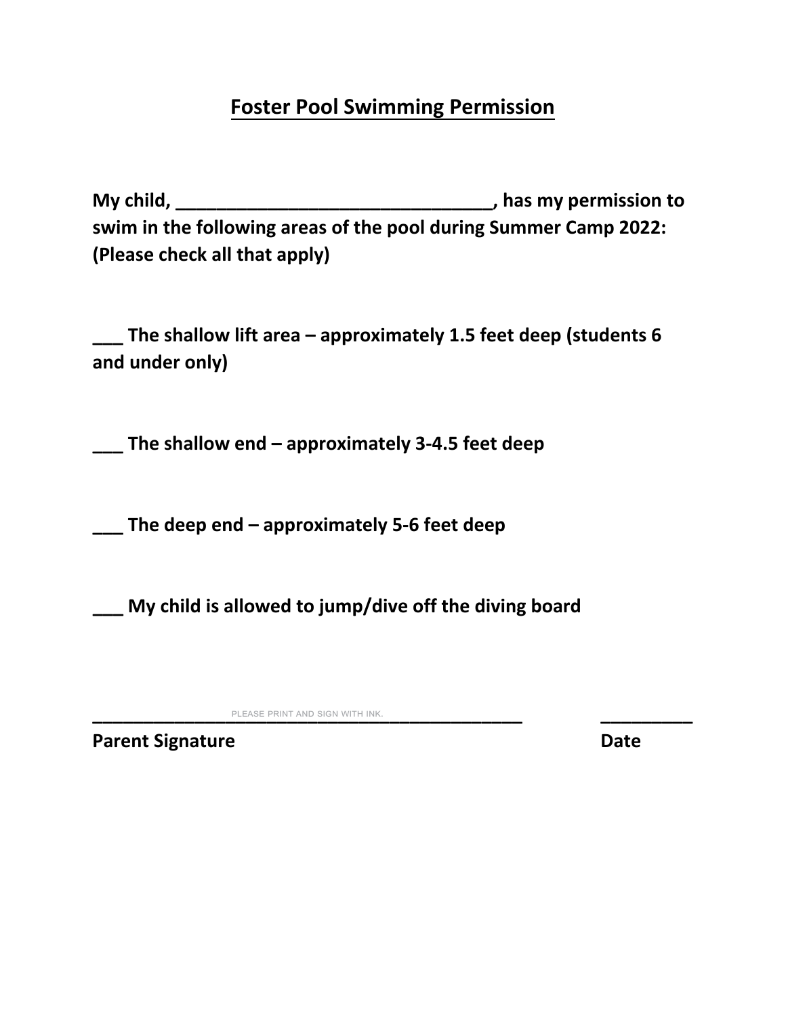# **Foster Pool Swimming Permission**

**My child, \_\_\_\_\_\_\_\_\_\_\_\_\_\_\_\_\_\_\_\_\_\_\_\_\_\_\_\_\_\_\_, has my permission to swim in the following areas of the pool during Summer Camp 2022: (Please check all that apply)**

**\_\_\_ The shallow lift area – approximately 1.5 feet deep (students 6 and under only)**

**\_\_\_ The shallow end – approximately 3‐4.5 feet deep**

**\_\_\_ The deep end – approximately 5‐6 feet deep**

**\_\_\_ My child is allowed to jump/dive off the diving board**

**\_\_\_\_\_\_\_\_\_\_\_\_\_\_\_\_\_\_\_\_\_\_\_\_\_\_\_\_\_\_\_\_\_\_\_\_\_\_\_\_\_\_ \_\_\_\_\_\_\_\_\_** please print and sign with ink.

**Parent Signature Date**